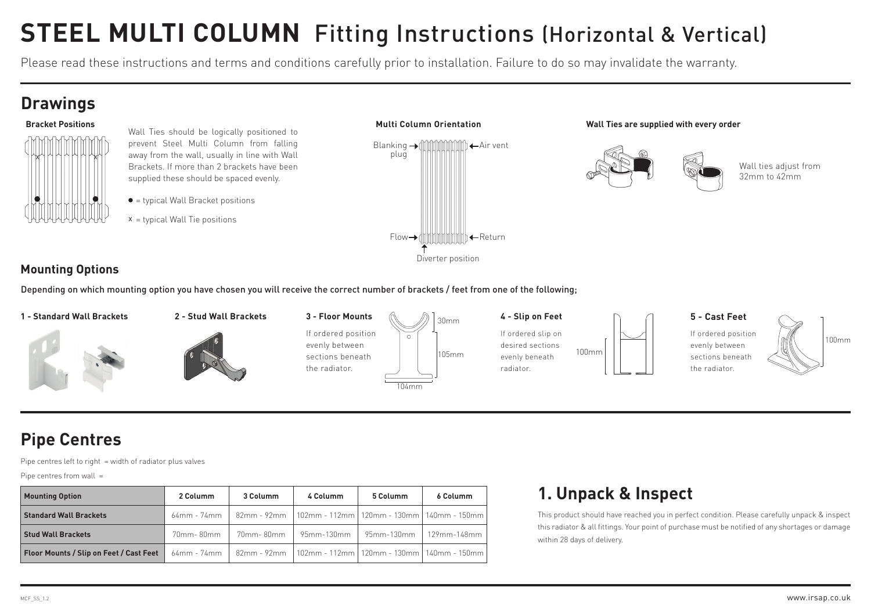# **STEEL MULTI COLUMN** Fitting Instructions (Horizontal & Vertical)

Please read these instructions and terms and conditions carefully prior to installation. Failure to do so may invalidate the warranty.

#### **Drawings**



- Wall Ties should be logically positioned to prevent Steel Multi Column from falling away from the wall, usually in line with Wall Brackets. If more than 2 brackets have been supplied these should be spaced evenly.
- $\bullet$  = typical Wall Bracket positions
- $x =$  typical Wall Tie positions



#### **Wall Ties are supplied with every order**



Wall ties adjust from 32mm to 42mm

#### **Mounting Options**

+ Depending on which mounting option you have chosen you will receive the correct number of brackets / feet from one of the following;



#### F1 F2 **Pipe Centres**

Pipe centres left to right = width of radiator plus valves

Pipe centres from wall  $=$ 

 $\overline{1}$ 

| <b>Mounting Option</b>                  | 2 Columm      | 3 Columm   | 4 Columm                                                                  | 5 Columm                | 6 Columm    |
|-----------------------------------------|---------------|------------|---------------------------------------------------------------------------|-------------------------|-------------|
| <b>Standard Wall Brackets</b>           |               |            | 64mm - 74mm   82mm - 92mm   102mm - 112mm   120mm - 130mm   140mm - 150mm |                         |             |
| <b>Stud Wall Brackets</b>               | 70mm-80mm     | 70mm- 80mm |                                                                           | 95mm-130mm   95mm-130mm | 129mm-148mm |
| Floor Mounts / Slip on Feet / Cast Feet | $64mm - 74mm$ |            | 82mm - 92mm   102mm - 112mm   120mm - 130mm   140mm - 150mm               |                         |             |

#### **1. Unpack & Inspect**

This product should have reached you in perfect condition. Please carefully unpack & inspect this radiator & all fittings. Your point of purchase must be notified of any shortages or damage within 28 days of delivery.